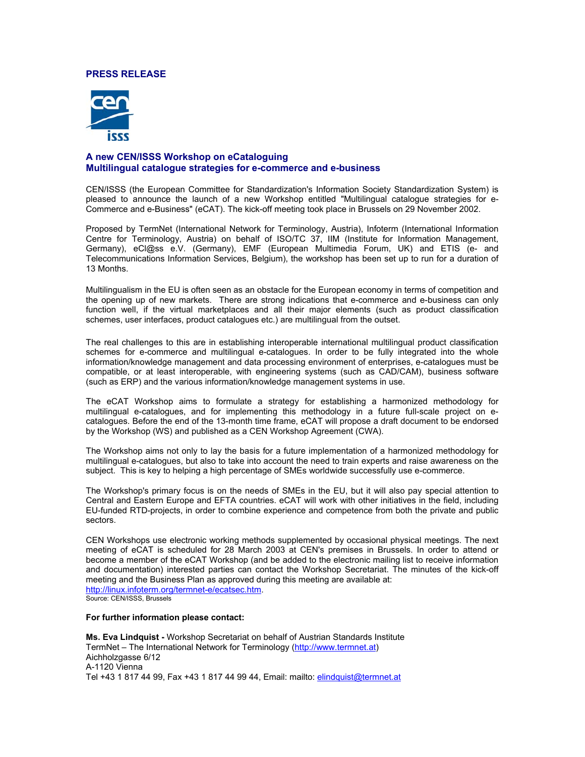### **PRESS RELEASE**



## **A new CEN/ISSS Workshop on eCataloguing Multilingual catalogue strategies for e-commerce and e-business**

CEN/ISSS (the European Committee for Standardization's Information Society Standardization System) is pleased to announce the launch of a new Workshop entitled "Multilingual catalogue strategies for e-Commerce and e-Business" (eCAT). The kick-off meeting took place in Brussels on 29 November 2002.

Proposed by TermNet (International Network for Terminology, Austria), Infoterm (International Information Centre for Terminology, Austria) on behalf of ISO/TC 37, IIM (Institute for Information Management, Germany), eCl@ss e.V. (Germany), EMF (European Multimedia Forum, UK) and ETIS (e- and Telecommunications Information Services, Belgium), the workshop has been set up to run for a duration of 13 Months.

Multilingualism in the EU is often seen as an obstacle for the European economy in terms of competition and the opening up of new markets. There are strong indications that e-commerce and e-business can only function well, if the virtual marketplaces and all their major elements (such as product classification schemes, user interfaces, product catalogues etc.) are multilingual from the outset.

The real challenges to this are in establishing interoperable international multilingual product classification schemes for e-commerce and multilingual e-catalogues. In order to be fully integrated into the whole information/knowledge management and data processing environment of enterprises, e-catalogues must be compatible, or at least interoperable, with engineering systems (such as CAD/CAM), business software (such as ERP) and the various information/knowledge management systems in use.

The eCAT Workshop aims to formulate a strategy for establishing a harmonized methodology for multilingual e-catalogues, and for implementing this methodology in a future full-scale project on ecatalogues. Before the end of the 13-month time frame, eCAT will propose a draft document to be endorsed by the Workshop (WS) and published as a CEN Workshop Agreement (CWA).

The Workshop aims not only to lay the basis for a future implementation of a harmonized methodology for multilingual e-catalogues, but also to take into account the need to train experts and raise awareness on the subject. This is key to helping a high percentage of SMEs worldwide successfully use e-commerce.

The Workshop's primary focus is on the needs of SMEs in the EU, but it will also pay special attention to Central and Eastern Europe and EFTA countries. eCAT will work with other initiatives in the field, including EU-funded RTD-projects, in order to combine experience and competence from both the private and public sectors.

CEN Workshops use electronic working methods supplemented by occasional physical meetings. The next meeting of eCAT is scheduled for 28 March 2003 at CEN's premises in Brussels. In order to attend or become a member of the eCAT Workshop (and be added to the electronic mailing list to receive information and documentation) interested parties can contact the Workshop Secretariat. The minutes of the kick-off meeting and the Business Plan as approved during this meeting are available at: [http://linux.infoterm.org/termnet-e/ecatsec.htm.](http://linux.infoterm.org/termnet-e/ecatsec.htm) [Source: CEN/ISSS, Brussels](http://linux.infoterm.org/termnet-e/ecatsec.htm) 

#### **For further information please contact:**

**Ms. Eva Lindquist -** Workshop Secretariat on behalf of Austrian Standards Institute TermNet – The International Network for Terminology ([http://www.termnet.at\)](http://www.termnet.at/) Aichholzgasse 6/12 A-1120 Vienna Tel +43 1 817 44 99, Fax +43 1 817 44 99 44, Email: mailto: [elindquist@termnet.at](mailto:elindquist@termnet.at)